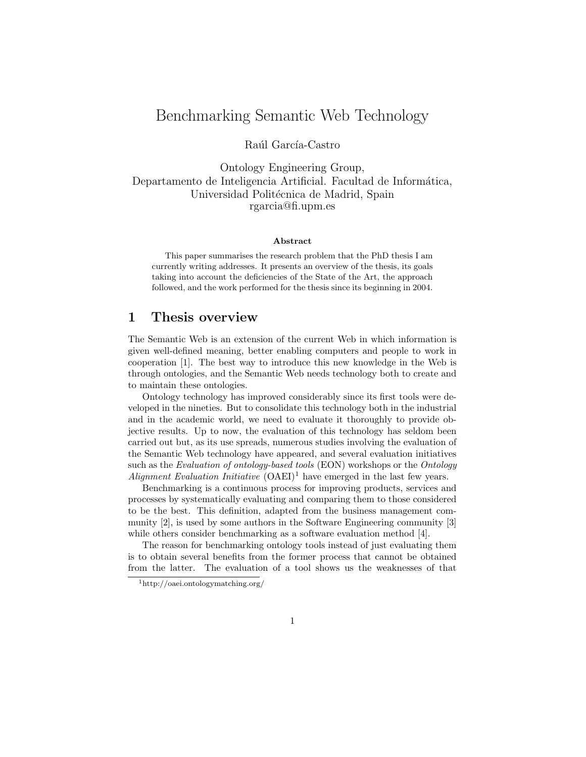# Benchmarking Semantic Web Technology

Raúl García-Castro

Ontology Engineering Group, Departamento de Inteligencia Artificial. Facultad de Informática, Universidad Politécnica de Madrid, Spain rgarcia@fi.upm.es

#### Abstract

This paper summarises the research problem that the PhD thesis I am currently writing addresses. It presents an overview of the thesis, its goals taking into account the deficiencies of the State of the Art, the approach followed, and the work performed for the thesis since its beginning in 2004.

#### 1 Thesis overview

The Semantic Web is an extension of the current Web in which information is given well-defined meaning, better enabling computers and people to work in cooperation [1]. The best way to introduce this new knowledge in the Web is through ontologies, and the Semantic Web needs technology both to create and to maintain these ontologies.

Ontology technology has improved considerably since its first tools were developed in the nineties. But to consolidate this technology both in the industrial and in the academic world, we need to evaluate it thoroughly to provide objective results. Up to now, the evaluation of this technology has seldom been carried out but, as its use spreads, numerous studies involving the evaluation of the Semantic Web technology have appeared, and several evaluation initiatives such as the Evaluation of ontology-based tools (EON) workshops or the Ontology Alignment Evaluation Initiative  $(OAEI)^1$  have emerged in the last few years.

Benchmarking is a continuous process for improving products, services and processes by systematically evaluating and comparing them to those considered to be the best. This definition, adapted from the business management community [2], is used by some authors in the Software Engineering community [3] while others consider benchmarking as a software evaluation method [4].

The reason for benchmarking ontology tools instead of just evaluating them is to obtain several benefits from the former process that cannot be obtained from the latter. The evaluation of a tool shows us the weaknesses of that

<sup>1</sup>http://oaei.ontologymatching.org/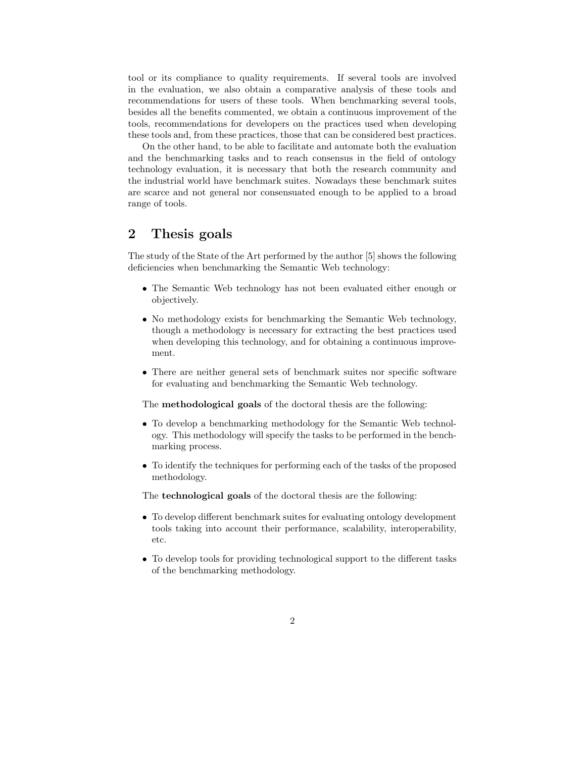tool or its compliance to quality requirements. If several tools are involved in the evaluation, we also obtain a comparative analysis of these tools and recommendations for users of these tools. When benchmarking several tools, besides all the benefits commented, we obtain a continuous improvement of the tools, recommendations for developers on the practices used when developing these tools and, from these practices, those that can be considered best practices.

On the other hand, to be able to facilitate and automate both the evaluation and the benchmarking tasks and to reach consensus in the field of ontology technology evaluation, it is necessary that both the research community and the industrial world have benchmark suites. Nowadays these benchmark suites are scarce and not general nor consensuated enough to be applied to a broad range of tools.

# 2 Thesis goals

The study of the State of the Art performed by the author [5] shows the following deficiencies when benchmarking the Semantic Web technology:

- The Semantic Web technology has not been evaluated either enough or objectively.
- No methodology exists for benchmarking the Semantic Web technology, though a methodology is necessary for extracting the best practices used when developing this technology, and for obtaining a continuous improvement.
- There are neither general sets of benchmark suites nor specific software for evaluating and benchmarking the Semantic Web technology.

The methodological goals of the doctoral thesis are the following:

- To develop a benchmarking methodology for the Semantic Web technology. This methodology will specify the tasks to be performed in the benchmarking process.
- To identify the techniques for performing each of the tasks of the proposed methodology.

The technological goals of the doctoral thesis are the following:

- To develop different benchmark suites for evaluating ontology development tools taking into account their performance, scalability, interoperability, etc.
- To develop tools for providing technological support to the different tasks of the benchmarking methodology.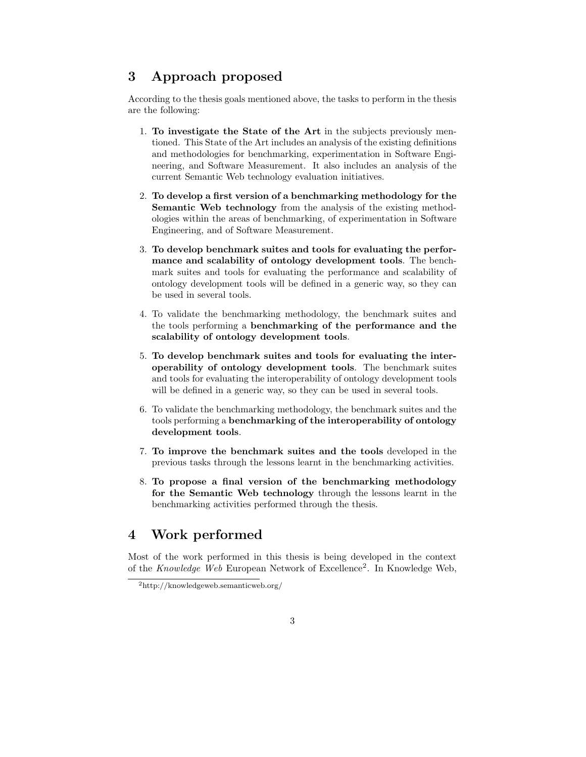## 3 Approach proposed

According to the thesis goals mentioned above, the tasks to perform in the thesis are the following:

- 1. To investigate the State of the Art in the subjects previously mentioned. This State of the Art includes an analysis of the existing definitions and methodologies for benchmarking, experimentation in Software Engineering, and Software Measurement. It also includes an analysis of the current Semantic Web technology evaluation initiatives.
- 2. To develop a first version of a benchmarking methodology for the Semantic Web technology from the analysis of the existing methodologies within the areas of benchmarking, of experimentation in Software Engineering, and of Software Measurement.
- 3. To develop benchmark suites and tools for evaluating the performance and scalability of ontology development tools. The benchmark suites and tools for evaluating the performance and scalability of ontology development tools will be defined in a generic way, so they can be used in several tools.
- 4. To validate the benchmarking methodology, the benchmark suites and the tools performing a benchmarking of the performance and the scalability of ontology development tools.
- 5. To develop benchmark suites and tools for evaluating the interoperability of ontology development tools. The benchmark suites and tools for evaluating the interoperability of ontology development tools will be defined in a generic way, so they can be used in several tools.
- 6. To validate the benchmarking methodology, the benchmark suites and the tools performing a benchmarking of the interoperability of ontology development tools.
- 7. To improve the benchmark suites and the tools developed in the previous tasks through the lessons learnt in the benchmarking activities.
- 8. To propose a final version of the benchmarking methodology for the Semantic Web technology through the lessons learnt in the benchmarking activities performed through the thesis.

## 4 Work performed

Most of the work performed in this thesis is being developed in the context of the Knowledge Web European Network of Excellence<sup>2</sup>. In Knowledge Web,

<sup>2</sup>http://knowledgeweb.semanticweb.org/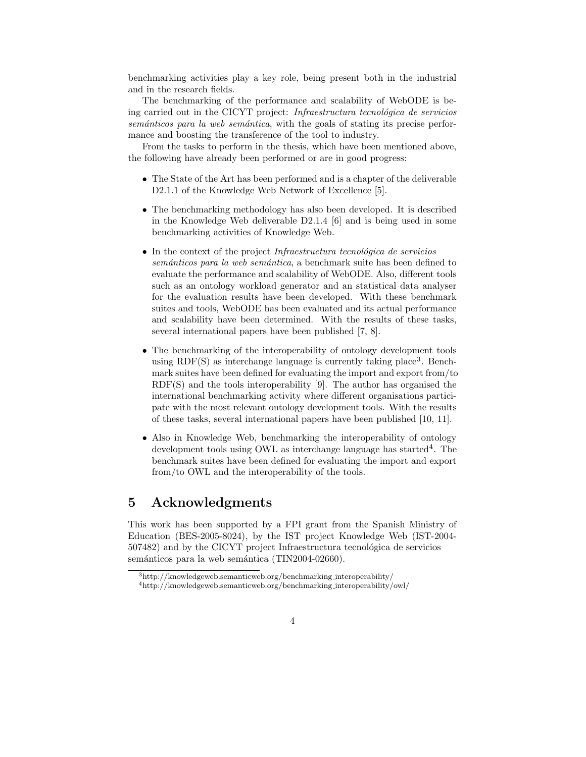benchmarking activities play a key role, being present both in the industrial and in the research fields.

The benchmarking of the performance and scalability of WebODE is being carried out in the CICYT project: Infraestructura tecnológica de servicios semánticos para la web semántica, with the goals of stating its precise performance and boosting the transference of the tool to industry.

From the tasks to perform in the thesis, which have been mentioned above, the following have already been performed or are in good progress:

- The State of the Art has been performed and is a chapter of the deliverable D2.1.1 of the Knowledge Web Network of Excellence [5].
- The benchmarking methodology has also been developed. It is described in the Knowledge Web deliverable D2.1.4 [6] and is being used in some benchmarking activities of Knowledge Web.
- $\bullet$  In the context of the project *Infraestructura tecnológica de servicios* semánticos para la web semántica, a benchmark suite has been defined to evaluate the performance and scalability of WebODE. Also, different tools such as an ontology workload generator and an statistical data analyser for the evaluation results have been developed. With these benchmark suites and tools, WebODE has been evaluated and its actual performance and scalability have been determined. With the results of these tasks, several international papers have been published [7, 8].
- The benchmarking of the interoperability of ontology development tools using RDF(S) as interchange language is currently taking place<sup>3</sup>. Benchmark suites have been defined for evaluating the import and export from/to RDF(S) and the tools interoperability [9]. The author has organised the international benchmarking activity where different organisations participate with the most relevant ontology development tools. With the results of these tasks, several international papers have been published [10, 11].
- Also in Knowledge Web, benchmarking the interoperability of ontology development tools using OWL as interchange language has started<sup>4</sup>. The benchmark suites have been defined for evaluating the import and export from/to OWL and the interoperability of the tools.

#### 5 Acknowledgments

This work has been supported by a FPI grant from the Spanish Ministry of Education (BES-2005-8024), by the IST project Knowledge Web (IST-2004- 507482) and by the CICYT project Infraestructura tecnológica de servicios semánticos para la web semántica (TIN2004-02660).

<sup>3</sup>http://knowledgeweb.semanticweb.org/benchmarking interoperability/

<sup>4</sup>http://knowledgeweb.semanticweb.org/benchmarking interoperability/owl/